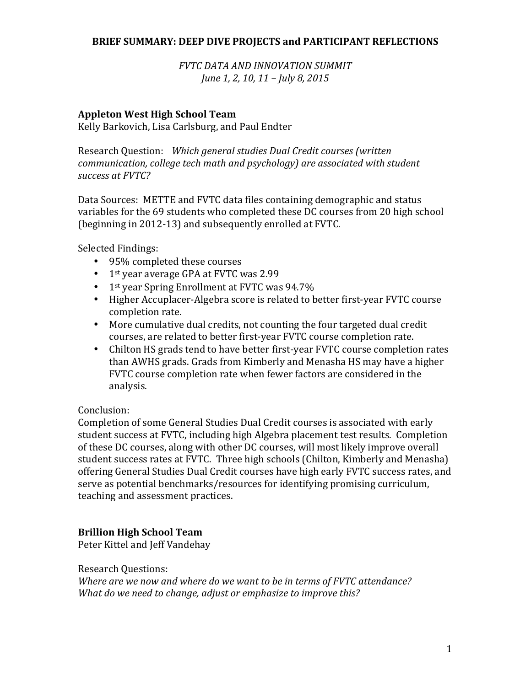#### **BRIEF SUMMARY: DEEP DIVE PROJECTS and PARTICIPANT REFLECTIONS**

*FVTC DATA AND INNOVATION SUMMIT June* 1, 2, 10, 11 – *July* 8, 2015

### **Appleton West High School Team**

Kelly Barkovich, Lisa Carlsburg, and Paul Endter

Research Question: Which general studies Dual Credit courses (written *communication, college tech math and psychology)* are associated with student *success at FVTC?*

Data Sources: METTE and FVTC data files containing demographic and status variables for the 69 students who completed these DC courses from 20 high school (beginning in 2012-13) and subsequently enrolled at FVTC.

Selected Findings:

- 95% completed these courses
- $\bullet$  1<sup>st</sup> year average GPA at FVTC was 2.99
- 1st year Spring Enrollment at FVTC was  $94.7\%$
- Higher Accuplacer-Algebra score is related to better first-year FVTC course completion rate.
- More cumulative dual credits, not counting the four targeted dual credit courses, are related to better first-year FVTC course completion rate.
- Chilton HS grads tend to have better first-year FVTC course completion rates than AWHS grads. Grads from Kimberly and Menasha HS may have a higher FVTC course completion rate when fewer factors are considered in the analysis.

### Conclusion:

Completion of some General Studies Dual Credit courses is associated with early student success at FVTC, including high Algebra placement test results. Completion of these DC courses, along with other DC courses, will most likely improve overall student success rates at FVTC. Three high schools (Chilton, Kimberly and Menasha) offering General Studies Dual Credit courses have high early FVTC success rates, and serve as potential benchmarks/resources for identifying promising curriculum, teaching and assessment practices.

### **Brillion High School Team**

Peter Kittel and Jeff Vandehay

Research Questions:

*Where are we now and where do we want to be in terms of FVTC attendance? What do we need to change, adjust or emphasize to improve this?*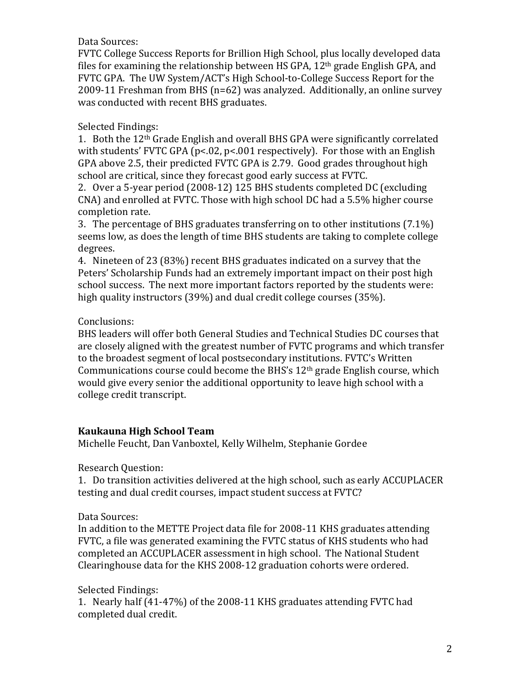### Data Sources:

FVTC College Success Reports for Brillion High School, plus locally developed data files for examining the relationship between HS GPA,  $12<sup>th</sup>$  grade English GPA, and FVTC GPA. The UW System/ACT's High School-to-College Success Report for the 2009-11 Freshman from BHS ( $n=62$ ) was analyzed. Additionally, an online survey was conducted with recent BHS graduates.

# Selected Findings:

1. Both the 12<sup>th</sup> Grade English and overall BHS GPA were significantly correlated with students' FVTC GPA ( $p$ <.02,  $p$ <.001 respectively). For those with an English GPA above 2.5, their predicted FVTC GPA is 2.79. Good grades throughout high school are critical, since they forecast good early success at FVTC.

2. Over a 5-year period (2008-12) 125 BHS students completed DC (excluding CNA) and enrolled at FVTC. Those with high school DC had a 5.5% higher course completion rate.

3. The percentage of BHS graduates transferring on to other institutions  $(7.1\%)$ seems low, as does the length of time BHS students are taking to complete college degrees. 

4. Nineteen of 23 (83%) recent BHS graduates indicated on a survey that the Peters' Scholarship Funds had an extremely important impact on their post high school success. The next more important factors reported by the students were: high quality instructors  $(39%)$  and dual credit college courses  $(35%)$ .

# Conclusions:

BHS leaders will offer both General Studies and Technical Studies DC courses that are closely aligned with the greatest number of FVTC programs and which transfer to the broadest segment of local postsecondary institutions. FVTC's Written Communications course could become the BHS's  $12<sup>th</sup>$  grade English course, which would give every senior the additional opportunity to leave high school with a college credit transcript.

# **Kaukauna High School Team**

Michelle Feucht, Dan Vanboxtel, Kelly Wilhelm, Stephanie Gordee

Research Ouestion:

1. Do transition activities delivered at the high school, such as early ACCUPLACER testing and dual credit courses, impact student success at FVTC?

# Data Sources:

In addition to the METTE Project data file for 2008-11 KHS graduates attending FVTC, a file was generated examining the FVTC status of KHS students who had completed an ACCUPLACER assessment in high school. The National Student Clearinghouse data for the KHS 2008-12 graduation cohorts were ordered.

# Selected Findings:

1. Nearly half (41-47%) of the 2008-11 KHS graduates attending FVTC had completed dual credit.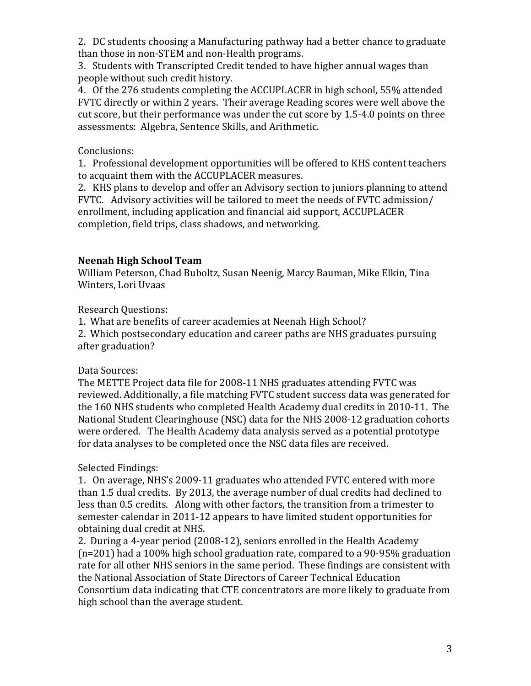2. DC students choosing a Manufacturing pathway had a better chance to graduate than those in non-STEM and non-Health programs.

3. Students with Transcripted Credit tended to have higher annual wages than people without such credit history.

4. Of the 276 students completing the ACCUPLACER in high school, 55% attended FVTC directly or within 2 years. Their average Reading scores were well above the cut score, but their performance was under the cut score by 1.5-4.0 points on three assessments: Algebra, Sentence Skills, and Arithmetic.

# Conclusions:

1. Professional development opportunities will be offered to KHS content teachers to acquaint them with the ACCUPLACER measures.

2. KHS plans to develop and offer an Advisory section to juniors planning to attend FVTC. Advisory activities will be tailored to meet the needs of FVTC admission/ enrollment, including application and financial aid support, ACCUPLACER completion, field trips, class shadows, and networking.

# **Neenah High School Team**

William Peterson, Chad Buboltz, Susan Neenig, Marcy Bauman, Mike Elkin, Tina Winters, Lori Uvaas

Research Questions:

1. What are benefits of career academies at Neenah High School?

2. Which postsecondary education and career paths are NHS graduates pursuing after graduation?

# Data Sources:

The METTE Project data file for 2008-11 NHS graduates attending FVTC was reviewed. Additionally, a file matching FVTC student success data was generated for the 160 NHS students who completed Health Academy dual credits in 2010-11. The National Student Clearinghouse (NSC) data for the NHS 2008-12 graduation cohorts were ordered. The Health Academy data analysis served as a potential prototype for data analyses to be completed once the NSC data files are received.

# Selected Findings:

1. On average, NHS's 2009-11 graduates who attended FVTC entered with more than 1.5 dual credits. By 2013, the average number of dual credits had declined to less than 0.5 credits. Along with other factors, the transition from a trimester to semester calendar in 2011-12 appears to have limited student opportunities for obtaining dual credit at NHS.

2. During a 4-year period (2008-12), seniors enrolled in the Health Academy  $(n=201)$  had a 100% high school graduation rate, compared to a 90-95% graduation rate for all other NHS seniors in the same period. These findings are consistent with the National Association of State Directors of Career Technical Education Consortium data indicating that CTE concentrators are more likely to graduate from high school than the average student.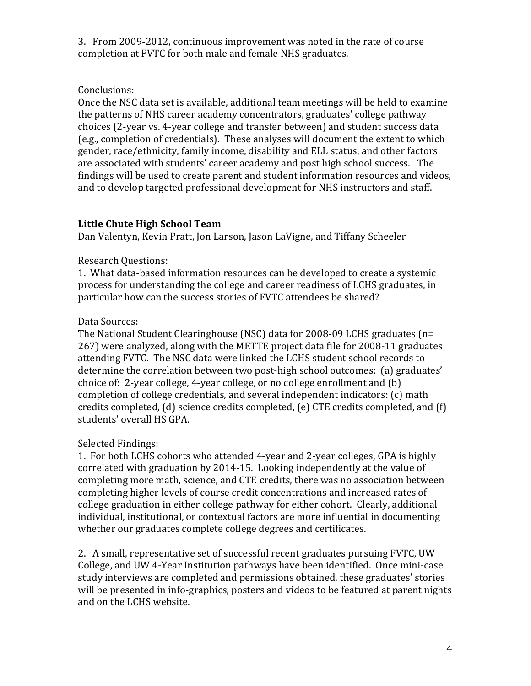3. From 2009-2012, continuous improvement was noted in the rate of course completion at FVTC for both male and female NHS graduates.

## Conclusions:

Once the NSC data set is available, additional team meetings will be held to examine the patterns of NHS career academy concentrators, graduates' college pathway choices (2-year vs. 4-year college and transfer between) and student success data (e.g., completion of credentials). These analyses will document the extent to which gender, race/ethnicity, family income, disability and ELL status, and other factors are associated with students' career academy and post high school success. The findings will be used to create parent and student information resources and videos, and to develop targeted professional development for NHS instructors and staff.

# **Little Chute High School Team**

Dan Valentyn, Kevin Pratt, Jon Larson, Jason LaVigne, and Tiffany Scheeler

# Research Ouestions:

1. What data-based information resources can be developed to create a systemic process for understanding the college and career readiness of LCHS graduates, in particular how can the success stories of FVTC attendees be shared?

# Data Sources:

The National Student Clearinghouse (NSC) data for 2008-09 LCHS graduates ( $n=$ 267) were analyzed, along with the METTE project data file for 2008-11 graduates attending FVTC. The NSC data were linked the LCHS student school records to determine the correlation between two post-high school outcomes: (a) graduates' choice of: 2-year college, 4-year college, or no college enrollment and  $(b)$ completion of college credentials, and several independent indicators:  $(c)$  math credits completed,  $(d)$  science credits completed,  $(e)$  CTE credits completed, and  $(f)$ students' overall HS GPA.

# Selected Findings:

1. For both LCHS cohorts who attended 4-year and 2-year colleges, GPA is highly correlated with graduation by 2014-15. Looking independently at the value of completing more math, science, and CTE credits, there was no association between completing higher levels of course credit concentrations and increased rates of college graduation in either college pathway for either cohort. Clearly, additional individual, institutional, or contextual factors are more influential in documenting whether our graduates complete college degrees and certificates.

2. A small, representative set of successful recent graduates pursuing FVTC, UW College, and UW 4-Year Institution pathways have been identified. Once mini-case study interviews are completed and permissions obtained, these graduates' stories will be presented in info-graphics, posters and videos to be featured at parent nights and on the LCHS website.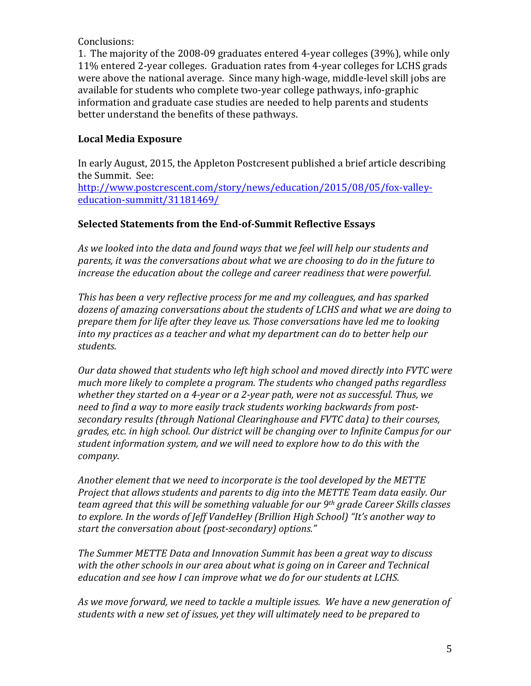### Conclusions:

1. The majority of the 2008-09 graduates entered 4-year colleges (39%), while only 11% entered 2-year colleges. Graduation rates from 4-year colleges for LCHS grads were above the national average. Since many high-wage, middle-level skill jobs are available for students who complete two-year college pathways, info-graphic information and graduate case studies are needed to help parents and students better understand the benefits of these pathways.

# **Local Media Exposure**

In early August, 2015, the Appleton Postcresent published a brief article describing the Summit. See: http://www.postcrescent.com/story/news/education/2015/08/05/fox-valleyeducation-summitt/31181469/

# Selected Statements from the End-of-Summit Reflective Essays

As we looked into the data and found ways that we feel will help our students and parents, it was the conversations about what we are choosing to do in the future to *increase the education about the college and career readiness that were powerful.* 

*This* has been a very reflective process for me and my colleagues, and has sparked dozens of amazing conversations about the students of LCHS and what we are doing to *prepare them for life after they leave us. Those conversations have led me to looking into* my practices as a teacher and what my department can do to better help our *students.*

*Our data showed that students who left high school and moved directly into FVTC were* much more likely to complete a program. The students who changed paths regardless *whether they started on a 4-year or a 2-year path, were not as successful. Thus, we* need to find a way to more easily track students working backwards from post*secondary results* (through National Clearinghouse and FVTC data) to their courses, *grades, etc. in high school. Our district will be changing over to Infinite Campus for our* student information system, and we will need to explore how to do this with the *company.* 

Another element that we need to incorporate is the tool developed by the METTE *Project that allows students and parents to dig into the METTE Team data easily. Our team agreed that this will be something valuable for our 9<sup>th</sup> grade Career Skills classes* to explore. In the words of Jeff VandeHey (Brillion High School) "It's another way to start the conversation about (post-secondary) options."

*The Summer METTE Data and Innovation Summit has been a great way to discuss* with the other schools in our area about what is going on in Career and Technical *education and see how I can improve what we do for our students at LCHS.* 

As we move forward, we need to tackle a multiple issues. We have a new generation of students with a new set of issues, yet they will ultimately need to be prepared to